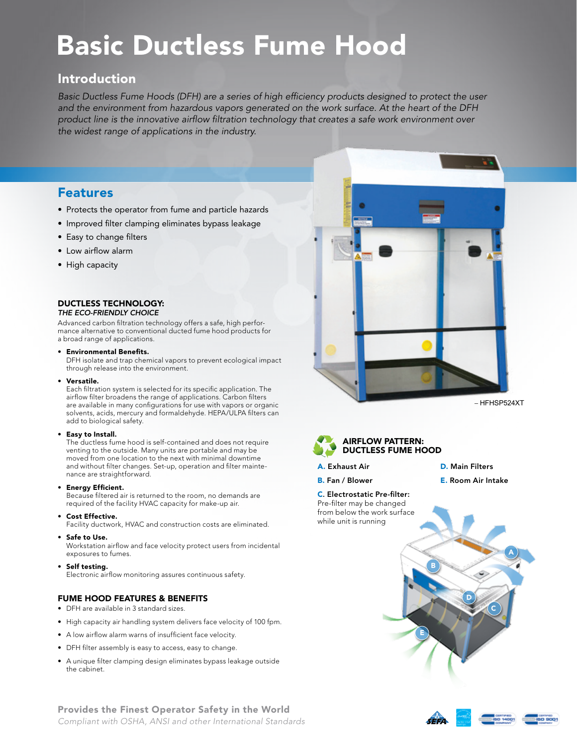# Basic Ductless Fume Hood

# Introduction

*Basic Ductless Fume Hoods (DFH) are a series of high efficiency products designed to protect the user and the environment from hazardous vapors generated on the work surface. At the heart of the DFH product line is the innovative airflow filtration technology that creates a safe work environment over the widest range of applications in the industry.*

## Features

- Protects the operator from fume and particle hazards
- Improved filter clamping eliminates bypass leakage
- Easy to change filters
- Low airflow alarm
- High capacity

#### DUCTLESS TECHNOLOGY: *The Eco-friendly Choice*

Advanced carbon filtration technology offers a safe, high perfor-

mance alternative to conventional ducted fume hood products for a broad range of applications.

#### • Environmental Benefits.

DFH isolate and trap chemical vapors to prevent ecological impact through release into the environment.

• Versatile.

Each filtration system is selected for its specific application. The airflow filter broadens the range of applications. Carbon filters are available in many configurations for use with vapors or organic solvents, acids, mercury and formaldehyde. HEPA/ULPA filters can add to biological safety.

#### • Easy to Install.

The ductless fume hood is self-contained and does not require venting to the outside. Many units are portable and may be moved from one location to the next with minimal downtime and without filter changes. Set-up, operation and filter maintenance are straightforward.

#### • Energy Efficient.

Because filtered air is returned to the room, no demands are required of the facility HVAC capacity for make-up air.

Cost Effective.

Facility ductwork, HVAC and construction costs are eliminated.

• Safe to Use.

Workstation airflow and face velocity protect users from incidental exposures to fumes.

Self testing. Electronic airflow monitoring assures continuous safety.

## Fume Hood FEATURES & BENEFITS

- • DFH are available in 3 standard sizes.
- High capacity air handling system delivers face velocity of 100 fpm.
- • A low airflow alarm warns of insufficient face velocity.
- • DFH filter assembly is easy to access, easy to change.
- • A unique filter clamping design eliminates bypass leakage outside the cabinet.





- A. Exhaust Air
- D. Main Filters

E. Room Air Intake

D

C

B

E

A

B. Fan / Blower

C. Electrostatic Pre-filter: Pre-filter may be changed from below the work surface while unit is running





Provides the Finest Operator Safety in the World *Compliant with OSHA, ANSI and other International Standards*